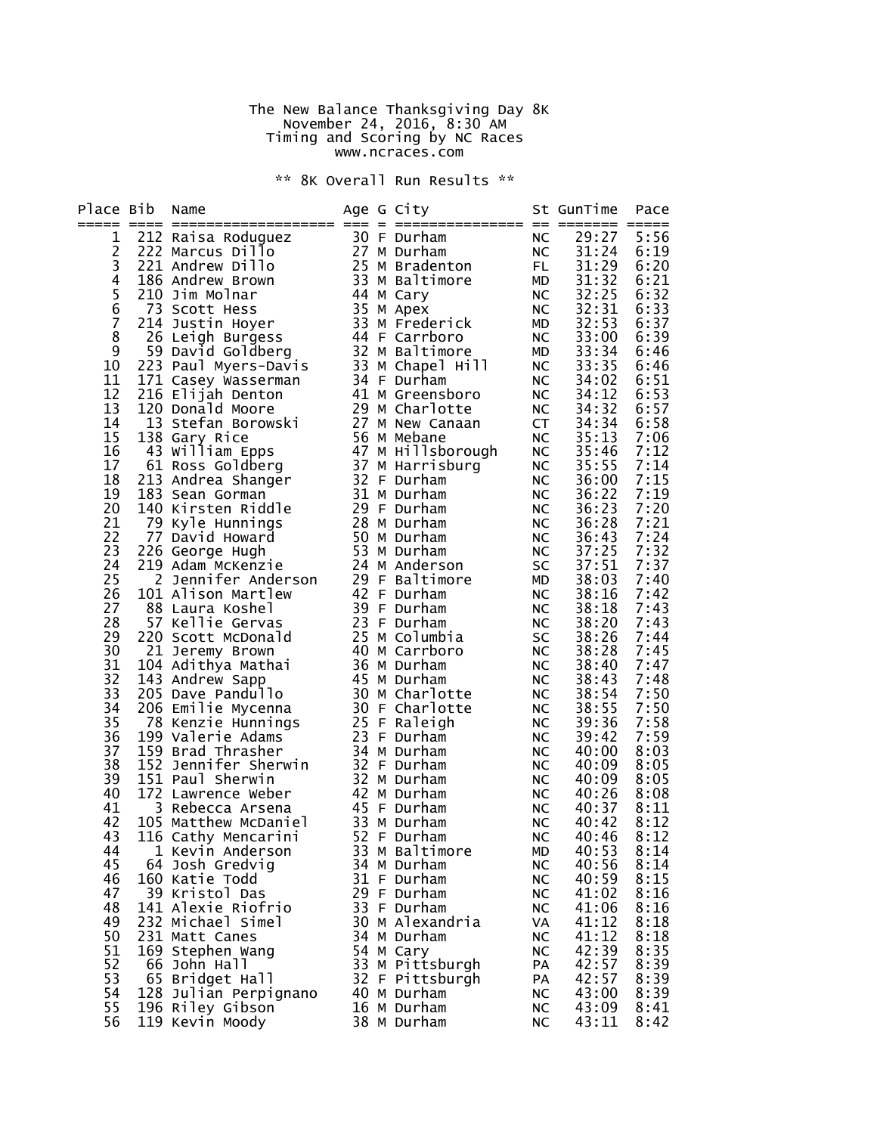## The New Balance Thanksgiving Day 8K November 24, 2016, 8:30 AM Timing and Scoring by NC Races www.ncraces.com

\*\* 8K Overall Run Results \*\*

| Place Bib      | Name                                                                                     |  | Age G City                                                     |                        | St GunTime     | Pace<br>$=$  |
|----------------|------------------------------------------------------------------------------------------|--|----------------------------------------------------------------|------------------------|----------------|--------------|
| 1              | 212 Raisa Roduguez                                                                       |  | 30 F Durham                                                    | NC                     | 29:27          | 5:56         |
| $\overline{c}$ | 222 Marcus Dillo                                                                         |  | 27 M Durham                                                    | <b>NC</b>              | 31:24          | 6:19         |
| 3              | 221 Andrew Dillo                                                                         |  | 25 M Bradenton                                                 | FL 1                   | 31:29          | 6:20         |
| 4              | 186 Andrew Brown                                                                         |  | 33 M Baltimore                                                 | <b>MD</b>              | 31:32          | 6:21         |
|                | 210 Jim Molnar                                                                           |  | 44 M Cary                                                      | NC                     | 32:25          | 6:32         |
| $\frac{5}{6}$  | 73 Scott Hess                                                                            |  | 35 M Apex                                                      | NC                     | 32:31          | 6:33         |
| $\overline{7}$ | 214 Justin Hoyer                                                                         |  | 33 M Frederick                                                 | MD                     | 32:53          | 6:37         |
| 8              | 26 Leigh Burgess                                                                         |  | -אייח 183 M<br>44 F Carrboro<br>יחסדּורי יי                    | NC                     | 33:00          | 6:39         |
| 9              | 59 David Goldberg                                                                        |  | 32 M Baltimore                                                 | <b>MD</b>              | 33:34          | 6:46         |
| 10             | 223 Paul Myers-Davis<br>171 Casey Wasserman                                              |  | 33 M Chapel Hill                                               | NC                     | 33:35          | 6:46         |
| 11             | 171 Casey Wasserman                                                                      |  | 34 F Durham                                                    | <b>NC</b>              | 34:02          | 6:51         |
| 12             | 216 Elijah Denton                                                                        |  | 41 M Greensboro                                                | NC                     | 34:12          | 6:53         |
| 13             | 120 Donald Moore                                                                         |  | 29 M Charlotte<br>29 M Charlotte<br>27 M New Canaan<br>110hana | $NC_{\overline{a}}$    | 34:32          | 6:57         |
| 14             | 13 Stefan Borowski                                                                       |  |                                                                | <b>CT</b>              | 34:34          | 6:58         |
| 15             | 138 Gary Rice                                                                            |  | 56 M Mebane<br>47 M Hillsborough<br>37 M Harrisburg            | NC                     | 35:13          | 7:06         |
| 16             | 43 William Epps                                                                          |  |                                                                | NC                     | 35:46          | 7:12         |
| 17             | 61 Ross Goldberg                                                                         |  | 37 M Harrisburg                                                | NC                     | 35:55          | 7:14         |
| 18             | 213 Andrea Shanger                                                                       |  | 32 F Durham                                                    | <b>NC</b>              | 36:00          | 7:15         |
| 19<br>20       | 183 Sean Gorman<br>140 Kirsten Riddle                                                    |  | 31 M Durham<br>29 F Durham                                     | NC                     | 36:22<br>36:23 | 7:19<br>7:20 |
| 21             | 79 Kyle Hunnings                                                                         |  | 28 M Durham                                                    | <b>NC</b>              | 36:28          | 7:21         |
| 22             | 77 David Howard                                                                          |  | 50 M Durham                                                    | NC<br>NC               | 36:43          | 7:24         |
| 23             | 226 George Hugh                                                                          |  |                                                                | <b>NC</b>              | 37:25          | 7:32         |
| 24             | 219 Adam McKenzie                                                                        |  | .u.<br>53 M Durham<br>Anders<br>24 M Anderson                  | SC                     | 37:51          | 7:37         |
| 25             |                                                                                          |  |                                                                | MD                     | 38:03          | 7:40         |
| 26             | 2 Jennifer Anderson 29 F Baltimore<br>1 Alison Martlew 42 F Durham<br>101 Alison Martlew |  |                                                                | NC                     | 38:16          | 7:42         |
| 27             | 88 Laura Koshel                                                                          |  | 39 F Durham                                                    | <b>NC</b>              | 38:18          | 7:43         |
| 28             | 57 Kellie Gervas                                                                         |  | 23 F Durham                                                    | <b>NC</b>              | 38:20          | 7:43         |
| 29             | 220 Scott McDonald                                                                       |  | 25 M Columbia                                                  | SC                     | 38:26          | 7:44         |
| 30             | 21 Jeremy Brown                                                                          |  | 40 M Carrboro                                                  | <b>NC</b>              | 38:28          | 7:45         |
| 31             | 104 Adithya Mathai                                                                       |  | 36 M Durham<br>.36 M בשנות 36<br>45 M Durham<br>Charlo         | NC                     | 38:40          | 7:47         |
| 32             | 143 Andrew Sapp                                                                          |  |                                                                | <b>NC</b>              | 38:43          | 7:48         |
| 33             | 205 Dave Pandullo                                                                        |  | 30 M Charlotte                                                 | NC                     | 38:54          | 7:50         |
| 34             | 206 Emilie Mycenna                                                                       |  | 30 F Charlotte                                                 | <b>NC</b>              | 38:55          | 7:50         |
| 35             | 78 Kenzie Hunnings                                                                       |  | 25 F Raleigh                                                   | NC                     | 39:36          | 7:58         |
| 36             | 199 Valerie Adams                                                                        |  | 23 F Durham                                                    | <b>NC</b>              | 39:42          | 7:59         |
| 37             | 159 Brad Thrasher                                                                        |  | 34 M Durham                                                    | <b>NC</b>              | 40:00          | 8:03         |
| 38             | 152 Jennifer Sherwin                                                                     |  | 32 F Durham                                                    | NC                     | 40:09          | 8:05         |
| 39             | 151 Paul Sherwin                                                                         |  | 32 M Durham                                                    | <b>NC</b>              | 40:09          | 8:05         |
| 40<br>41       | 172 Lawrence Weber<br>3 Rebecca Arsena                                                   |  | 42 M Durham<br>45 F Durham                                     | <b>NC</b>              | 40:26          | 8:08<br>8:11 |
| 42             | 105 Matthew McDaniel                                                                     |  | 33 M Durham                                                    | <b>NC</b><br><b>NC</b> | 40:37<br>40:42 | 8:12         |
| 43             | 116 Cathy Mencarini                                                                      |  | 52 F Durham                                                    | <b>NC</b>              | 40:46          | 8:12         |
| 44             | 1 Kevin Anderson                                                                         |  | 33 M Baltimore                                                 | МD                     | 40:53          | 8:14         |
| 45             | 64 Josh Gredvig                                                                          |  | 34 M Durham                                                    | NC                     | 40:56          | 8:14         |
| 46             | 160 Katie Todd                                                                           |  | 31 F Durham                                                    | NC                     | 40:59          | 8:15         |
| 47             | 39 Kristol Das                                                                           |  | 29 F Durham                                                    | NC                     | 41:02          | 8:16         |
| 48             | 141 Alexie Riofrio                                                                       |  | 33 F Durham                                                    | NC                     | 41:06          | 8:16         |
| 49             | 232 Michael Simel                                                                        |  | 30 M Alexandria                                                | VA                     | 41:12          | 8:18         |
| 50             | 231 Matt Canes                                                                           |  | 34 M Durham                                                    | <b>NC</b>              | 41:12          | 8:18         |
| 51             | 169 Stephen Wang                                                                         |  | 54 M Cary                                                      | NC                     | 42:39          | 8:35         |
| 52             | 66 John Hall                                                                             |  | 33 M Pittsburgh                                                | PA                     | 42:57          | 8:39         |
| 53             | 65 Bridget Hall                                                                          |  | 32 F Pittsburgh                                                | PA                     | 42:57          | 8:39         |
| 54             | 128 Julian Perpignano                                                                    |  | 40 M Durham                                                    | NC                     | 43:00          | 8:39         |
| 55             | 196 Riley Gibson                                                                         |  | 16 M Durham                                                    | NC                     | 43:09          | 8:41         |
| 56             | 119 Kevin Moody                                                                          |  | 38 M Durham                                                    | NC                     | 43:11          | 8:42         |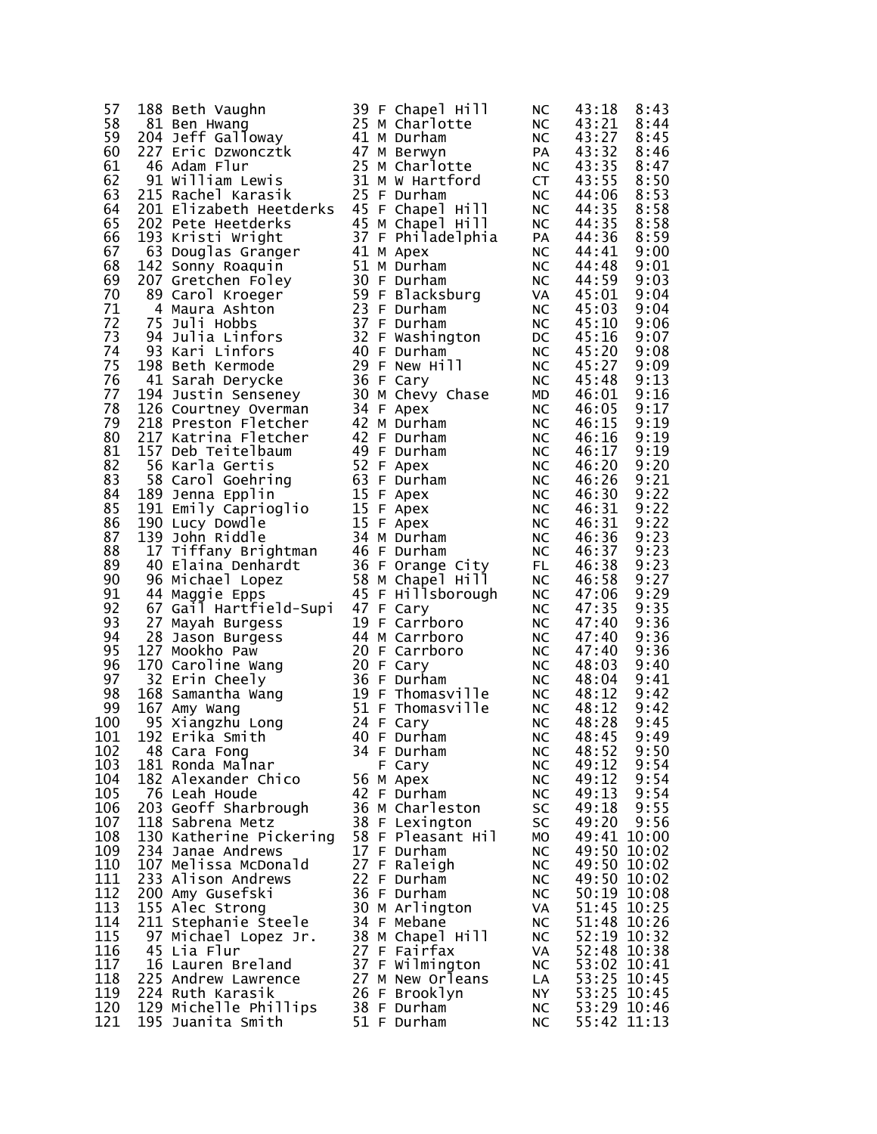| 57  | 188 Beth Vaughn                                        |  | 39 F Chapel Hill               | <b>NC</b> | 43:18                      | 8:43 |
|-----|--------------------------------------------------------|--|--------------------------------|-----------|----------------------------|------|
| 58  | 81 Ben Hwang                                           |  | 25 M Charlotte                 | NC        | 43:21                      | 8:44 |
| 59  | 204 Jeff Galloway                                      |  | 41 M Durham                    | <b>NC</b> | 43:27                      | 8:45 |
| 60  | 227 Eric Dzwoncztk<br>46 Adam Flur<br>91 William Lewis |  | 47 M Berwyn                    | PA        | 43:32                      | 8:46 |
| 61  |                                                        |  | 25 M Charlotte                 | <b>NC</b> | 43:35                      | 8:47 |
| 62  |                                                        |  | 31 M W Hartford                | <b>CT</b> | 43:55                      | 8:50 |
| 63  | 215 Rachel Karasik                                     |  | 25 F Durham                    | <b>NC</b> | 44:06                      | 8:53 |
| 64  | 201 Elizabeth Heetderks                                |  | 45 F Chapel Hill               | NC        | 44:35                      | 8:58 |
| 65  | 202 Pete Heetderks                                     |  | 45 M Chapel Hill               | <b>NC</b> | 44:35                      | 8:58 |
| 66  | 193 Kristi Wright                                      |  | 37 F Philadelphia              | PA        | 44:36                      | 8:59 |
| 67  | 63 Douglas Granger                                     |  | 41 M Apex                      | <b>NC</b> | 44:41                      | 9:00 |
| 68  | 142 Sonny Roaquin                                      |  | 51 M Durham                    | <b>NC</b> | 44:48                      | 9:01 |
| 69  |                                                        |  | 30 F Durham                    |           |                            | 9:03 |
|     | 207 Gretchen Foley                                     |  | 30 F Durnam<br>59 F Blacksburg | <b>NC</b> | 44:59                      |      |
| 70  | 89 Carol Kroeger                                       |  |                                | VA        | 45:01                      | 9:04 |
| 71  | 4 Maura Ashton                                         |  | 23 F Durham                    | <b>NC</b> | 45:03                      | 9:04 |
| 72  | 75 Juli Hobbs<br><i>n</i><br>94 Julia Linfors          |  | 37 F Durham                    | <b>NC</b> | 45:10                      | 9:06 |
| 73  |                                                        |  | 32 F Washington                | DC        | 45:16                      | 9:07 |
| 74  | 93 Kari Linfors                                        |  | 40 F Durham                    | <b>NC</b> | 45:20                      | 9:08 |
| 75  | 198 Beth Kermode                                       |  | 29 F New Hill                  | <b>NC</b> | 45:27                      | 9:09 |
| 76  | 41 Sarah Derycke                                       |  | 36 F Cary                      | $NC$      | 45:48                      | 9:13 |
| 77  | 194 Justin Senseney                                    |  | 30 M Chevy Chase               | MD        | 46:01                      | 9:16 |
| 78  | 126 Courtney Overman                                   |  | 34 F Apex                      | NC        | 46:05                      | 9:17 |
| 79  | 218 Preston Fletcher                                   |  | 42 M Durham                    | <b>NC</b> | 46:15                      | 9:19 |
| 80  | 217 Katrina Fletcher                                   |  | 42 F Durham                    | <b>NC</b> | 46:16                      | 9:19 |
| 81  | 157 Deb Teitelbaum                                     |  | 49 F Durham                    | <b>NC</b> | 46:17                      | 9:19 |
| 82  | 56 Karla Gertis                                        |  | 52 F Apex                      | $NC$      | 46:20                      | 9:20 |
| 83  | 58 Carol Goehring                                      |  | 63 F Durham                    | <b>NC</b> | 46:26                      | 9:21 |
| 84  | 189 Jenna Epplin                                       |  | 15 F Apex                      | <b>NC</b> | 46:30                      | 9:22 |
| 85  | 191 Emily Caprioglio                                   |  | 15 F Apex                      | <b>NC</b> | 46:31                      | 9:22 |
| 86  | 190 Lucy Dowdle                                        |  | 15 F Apex                      | <b>NC</b> | 46:31                      | 9:22 |
| 87  | 139 John Riddle                                        |  | 34 M Durham                    | <b>NC</b> | 46:36                      | 9:23 |
| 88  | 17 Tiffany Brightman                                   |  | 46 F Durham                    | <b>NC</b> | 46:37                      | 9:23 |
| 89  | 40 Elaina Denhardt                                     |  | 36 F Orange City               | FL.       | 46:38                      | 9:23 |
| 90  | 96 Michael Lopez                                       |  | 58 M Chapel Hill               | <b>NC</b> | 46:58                      | 9:27 |
| 91  | 44 Maggie Epps                                         |  | 45 F Hillsborough              | <b>NC</b> | 47:06                      | 9:29 |
| 92  | 67 Gail Hartfield-Supi                                 |  | 47 F Cary                      | <b>NC</b> | 47:35                      | 9:35 |
| 93  | 27 Mayah Burgess                                       |  | 19 F Carrboro                  | <b>NC</b> | 47:40                      | 9:36 |
| 94  | 28 Jason Burgess                                       |  | 44 M Carrboro                  | <b>NC</b> | 47:40                      | 9:36 |
| 95  | 127 Mookho Paw                                         |  | 20 F Carrboro                  | <b>NC</b> | 47:40                      | 9:36 |
| 96  | 170 Caroline Wang                                      |  | 20 F Cary                      | <b>NC</b> | 48:03                      | 9:40 |
| 97  | 32 Erin Cheely                                         |  | 36 F Durham                    | <b>NC</b> | 48:04                      | 9:41 |
| 98  |                                                        |  | 19 F Thomasville               | <b>NC</b> | 48:12                      | 9:42 |
| 99  | 168 Samantha Wang<br>167 Amy Wang<br>167 Amy Wang      |  | 51 F Thomasville               | <b>NC</b> | 48:12                      | 9:42 |
| 100 | 95 Xiangzhu Long                                       |  | 24 F Cary                      | <b>NC</b> | 48:28                      | 9:45 |
| 101 | 192 Erika Smith                                        |  | 40 F Durham                    | <b>NC</b> | 48:45                      | 9:49 |
| 102 | 48 Cara Fong                                           |  | 34 F Durham                    | <b>NC</b> | 48:52                      | 9:50 |
| 103 | 181 Ronda Malnar                                       |  | F Cary                         | <b>NC</b> | 49:12                      | 9:54 |
| 104 | 182 Alexander Chico                                    |  | 56 M Apex                      | <b>NC</b> | 49:12                      | 9:54 |
| 105 | 76 Leah Houde                                          |  | 42 F Durham                    | <b>NC</b> | 49:13                      | 9:54 |
| 106 | 203 Geoff Sharbrough                                   |  | 36 M Charleston                | SC        | 49:18                      | 9:55 |
| 107 | 118 Sabrena Metz                                       |  | 38 F Lexington                 | SC        | 49:20                      | 9:56 |
| 108 | 130 Katherine Pickering                                |  | 58 F Pleasant Hil              | МO        | 49:41 10:00                |      |
| 109 |                                                        |  | 17 F Durham                    |           |                            |      |
| 110 | 234 Janae Andrews<br>107 Melissa McDonald              |  |                                | <b>NC</b> | 49:50 10:02<br>49:50 10:02 |      |
|     |                                                        |  | 27 F Raleigh                   | <b>NC</b> |                            |      |
| 111 | 233 Alison Andrews                                     |  | 22 F Durham                    | <b>NC</b> | 49:50 10:02                |      |
| 112 | 200 Amy Gusefski                                       |  | 36 F Durham                    | <b>NC</b> | 50:19 10:08                |      |
| 113 | 155 Alec Strong                                        |  | 30 M Arlington                 | VA        | 51:45 10:25                |      |
| 114 | 211 Stephanie Steele                                   |  | 34 F Mebane                    | <b>NC</b> | 51:48 10:26                |      |
| 115 | 97 Michael Lopez Jr.                                   |  | 38 M Chapel Hill               | <b>NC</b> | 52:19 10:32                |      |
| 116 | 45 Lia Flur                                            |  | 27 F Fairfax                   | VA        | 52:48 10:38                |      |
| 117 | 16 Lauren Breland                                      |  | 37 F Wilmington                | <b>NC</b> | 53:02 10:41                |      |
| 118 | 225 Andrew Lawrence                                    |  | 27 M New Orleans               | LA        | 53:25 10:45                |      |
| 119 | 224 Ruth Karasik                                       |  | 26 F Brooklyn                  | NY.       | 53:25 10:45                |      |
| 120 | 129 Michelle Phillips                                  |  | 38 F Durham                    | <b>NC</b> | 53:29 10:46                |      |
| 121 | 195 Juanita Smith                                      |  | 51 F Durham                    | <b>NC</b> | 55:42 11:13                |      |